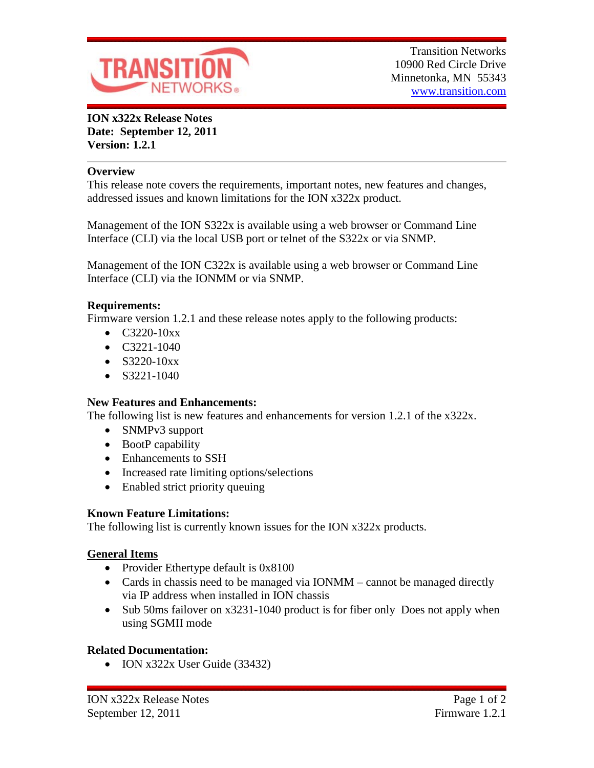

**ION x322x Release Notes Date: September 12, 2011 Version: 1.2.1**

#### **Overview**

This release note covers the requirements, important notes, new features and changes, addressed issues and known limitations for the ION x322x product.

Management of the ION S322x is available using a web browser or Command Line Interface (CLI) via the local USB port or telnet of the S322x or via SNMP.

Management of the ION C322x is available using a web browser or Command Line Interface (CLI) via the IONMM or via SNMP.

#### **Requirements:**

Firmware version 1.2.1 and these release notes apply to the following products:

- $C3220-10xx$
- C3221-1040
- $S3220-10xx$
- $\bullet$  S3221-1040

## **New Features and Enhancements:**

The following list is new features and enhancements for version 1.2.1 of the x322x.

- SNMPv3 support
- BootP capability
- Enhancements to SSH
- Increased rate limiting options/selections
- Enabled strict priority queuing

## **Known Feature Limitations:**

The following list is currently known issues for the ION x322x products.

## **General Items**

- Provider Ethertype default is 0x8100
- Cards in chassis need to be managed via IONMM cannot be managed directly via IP address when installed in ION chassis
- Sub 50ms failover on x3231-1040 product is for fiber only Does not apply when using SGMII mode

## **Related Documentation:**

• ION x322x User Guide (33432)